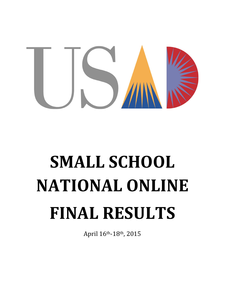

# **SMALL SCHOOL NATIONAL ONLINE FINAL RESULTS**

April 16th-18th, 2015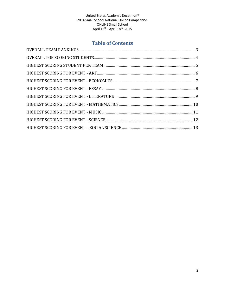# **Table of Contents**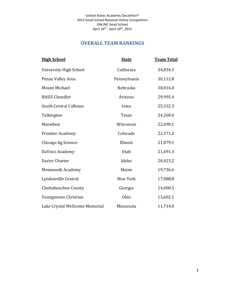United States Academic Decathlon® 2014 Small School National Online Competition ONLINE Small School April 16<sup>th</sup> - April 18<sup>th</sup>, 2015

# **OVERALL TEAM RANKINGS**

<span id="page-2-0"></span>

| <b>High School</b>             | <b>State</b> | <b>Team Total</b> |
|--------------------------------|--------------|-------------------|
| <b>University High School</b>  | California   | 34,834.3          |
| Penns Valley Area              | Pennsylvania | 30,112.8          |
| <b>Mount Michael</b>           | Nebraska     | 30,016.0          |
| <b>BASIS Chandler</b>          | Arizona      | 29,995.4          |
| South Central Calhoun          | Iowa         | 25,332.3          |
| Talkington                     | <b>Texas</b> | 24,268.6          |
| Marathon                       | Wisconsin    | 22,690.1          |
| <b>Frontier Academy</b>        | Colorado     | 22,571.2          |
| Chicago Ag Science             | Illinois     | 21,879.1          |
| DaVinci Academy                | Utah         | 21,691.3          |
| Xavier Charter                 | Idaho        | 20,423.2          |
| <b>Monmouth Academy</b>        | Maine        | 19,736.6          |
| Lyndonville Central            | New York     | 17,088.8          |
| <b>Chattahoochee County</b>    | Georgia      | 14,000.5          |
| Youngstown Christian           | Ohio         | 13,602.1          |
| Lake Crystal Wellcome Memorial | Minnesota    | 11,714.0          |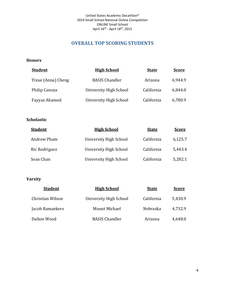# **OVERALL TOP SCORING STUDENTS**

#### <span id="page-3-0"></span>**Honors**

| <b>Student</b>     | <u>High School</u>     | <b>State</b> | <b>Score</b> |
|--------------------|------------------------|--------------|--------------|
| Yixue (Anna) Cheng | <b>BASIS Chandler</b>  | Arizona      | 6,944.9      |
| Philip Canoza      | University High School | California   | 6,844.0      |
| Fayyaz Ahamed      | University High School | California   | 6,780.9      |

## **Scholastic**

| <b>Student</b> | <b>High School</b>     | <b>State</b> | <b>Score</b> |
|----------------|------------------------|--------------|--------------|
| Andrew Pham    | University High School | California   | 6,125.7      |
| Ric Rodriguez  | University High School | California   | 5,443.4      |
| Sean Chan      | University High School | California   | 5,282.1      |

| <b>Student</b>   | <b>High School</b>     | <b>State</b> | <b>Score</b> |
|------------------|------------------------|--------------|--------------|
| Christian Wilson | University High School | California   | 5,430.9      |
| Jacob Ramaekers  | Mount Michael          | Nebraska     | 4,732.9      |
| Dalton Wood      | <b>BASIS Chandler</b>  | Arizona      | 4,648.0      |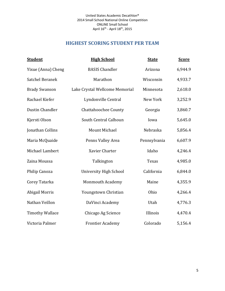# **HIGHEST SCORING STUDENT PER TEAM**

<span id="page-4-0"></span>

| <b>Student</b>         | <b>High School</b>             | <b>State</b> | <b>Score</b> |
|------------------------|--------------------------------|--------------|--------------|
| Yixue (Anna) Cheng     | <b>BASIS Chandler</b>          | Arizona      | 6,944.9      |
| Satchel Beranek        | Marathon                       | Wisconsin    | 4,933.7      |
| <b>Brady Swanson</b>   | Lake Crystal Wellcome Memorial | Minnesota    | 2,618.0      |
| Rachael Kiefer         | Lyndonville Central            | New York     | 3,252.9      |
| Dustin Chandler        | <b>Chattahoochee County</b>    | Georgia      | 3,860.7      |
| Kjersti Olson          | South Central Calhoun          | Iowa         | 5,645.0      |
| Jonathan Collins       | <b>Mount Michael</b>           | Nebraska     | 5,856.4      |
| Maria McQuaide         | Penns Valley Area              | Pennsylvania | 6,607.9      |
| Michael Lambert        | Xavier Charter                 | Idaho        | 4,246.4      |
| Zaina Moussa           | Talkington                     | Texas        | 4,985.0      |
| Philip Canoza          | <b>University High School</b>  | California   | 6,844.0      |
| Corey Tatarka          | <b>Monmouth Academy</b>        | Maine        | 4,355.9      |
| <b>Abigail Morris</b>  | Youngstown Christian           | Ohio         | 4,266.4      |
| Nathan Veillon         | DaVinci Academy                | Utah         | 4,776.3      |
| <b>Timothy Wallace</b> | Chicago Ag Science             | Illinois     | 4,470.4      |
| Victoria Palmer        | <b>Frontier Academy</b>        | Colorado     | 5,156.4      |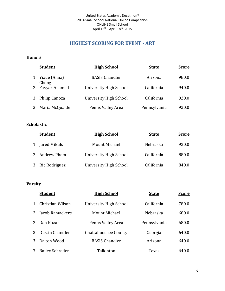# **HIGHEST SCORING FOR EVENT - ART**

#### <span id="page-5-0"></span>**Honors**

|   | <b>Student</b>        | <b>High School</b>     | <b>State</b> | <b>Score</b> |
|---|-----------------------|------------------------|--------------|--------------|
| 1 | Yixue (Anna)<br>Cheng | <b>BASIS Chandler</b>  | Arizona      | 980.0        |
| 2 | Fayyaz Ahamed         | University High School | California   | 940.0        |
| 3 | Philip Canoza         | University High School | California   | 920.0        |
| 3 | Maria McQuaide        | Penns Valley Area      | Pennsylvania | 920.0        |

## **Scholastic**

| <b>Student</b> | <b>High School</b>     | <b>State</b> | <b>Score</b> |
|----------------|------------------------|--------------|--------------|
| Jared Mikuls   | Mount Michael          | Nebraska     | 920.0        |
| 2 Andrew Pham  | University High School | California   | 880.0        |
| Ric Rodriguez  | University High School | California   | 840.0        |

|   | <b>Student</b>         | <u>High School</u>          | <b>State</b>    | <b>Score</b> |
|---|------------------------|-----------------------------|-----------------|--------------|
|   | Christian Wilson       | University High School      | California      | 780.0        |
|   | Jacob Ramaekers        | Mount Michael               | <b>Nebraska</b> | 680.0        |
|   | Dan Kozar              | Penns Valley Area           | Pennsylvania    | 680.0        |
|   | Dustin Chandler        | <b>Chattahoochee County</b> | Georgia         | 640.0        |
| 3 | Dalton Wood            | <b>BASIS Chandler</b>       | Arizona         | 640.0        |
|   | <b>Bailey Schrader</b> | Talkinton                   | Texas           | 640.0        |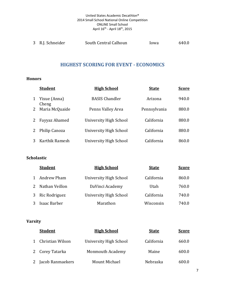#### United States Academic Decathlon® 2014 Small School National Online Competition ONLINE Small School April 16<sup>th</sup> - April 18<sup>th</sup>, 2015

<span id="page-6-0"></span>

# **HIGHEST SCORING FOR EVENT - ECONOMICS**

#### **Honors**

|   | <b>Student</b>        | <b>High School</b>     | <b>State</b> | <u>Score</u> |
|---|-----------------------|------------------------|--------------|--------------|
| 1 | Yixue (Anna)<br>Cheng | <b>BASIS Chandler</b>  | Arizona      | 940.0        |
| 2 | Maria McQuaide        | Penns Valley Area      | Pennsylvania | 880.0        |
| 2 | Fayyaz Ahamed         | University High School | California   | 880.0        |
|   | Philip Canoza         | University High School | California   | 880.0        |
|   | Karthik Ramesh        | University High School | California   | 860.0        |

## **Scholastic**

|   | <b>Student</b>     | <b>High School</b>     | <b>State</b> | <b>Score</b> |
|---|--------------------|------------------------|--------------|--------------|
|   | <b>Andrew Pham</b> | University High School | California   | 860.0        |
|   | Nathan Veillon     | DaVinci Academy        | Utah         | 760.0        |
| 3 | Ric Rodriguez      | University High School | California   | 740.0        |
|   | Isaac Barber       | Marathon               | Wisconsin    | 740.0        |

|   | <b>Student</b>   | <b>High School</b>      | <u>State</u> | <b>Score</b> |
|---|------------------|-------------------------|--------------|--------------|
| 1 | Christian Wilson | University High School  | California   | 660.0        |
|   | 2 Corey Tatarka  | <b>Monmouth Academy</b> | Maine        | 600.0        |
|   | Jacob Ranmaekers | Mount Michael           | Nebraska     | 600.0        |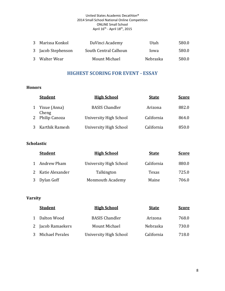#### United States Academic Decathlon® 2014 Small School National Online Competition ONLINE Small School April 16<sup>th</sup> - April 18<sup>th</sup>, 2015

<span id="page-7-0"></span>

| 3 Marissa Konkol   | DaVinci Academy       | Utah     | 580.0 |
|--------------------|-----------------------|----------|-------|
| 3 Jacob Stephenson | South Central Calhoun | lowa     | 580.0 |
| 3 Walter Wear      | Mount Michael         | Nebraska | 580.0 |

# **HIGHEST SCORING FOR EVENT - ESSAY**

## **Honors**

| <b>Student</b>          | <b>High School</b>            | <b>State</b> | <b>Score</b> |
|-------------------------|-------------------------------|--------------|--------------|
| 1 Yixue (Anna)<br>Cheng | <b>BASIS Chandler</b>         | Arizona      | 882.0        |
| 2 Philip Canoza         | <b>University High School</b> | California   | 864.0        |
| 3 Karthik Ramesh        | University High School        | California   | 850.0        |

### **Scholastic**

|              | <b>Student</b>    | <b>High School</b>      | <b>State</b> | <b>Score</b> |
|--------------|-------------------|-------------------------|--------------|--------------|
| $\mathbf{1}$ | Andrew Pham       | University High School  | California   | 880.0        |
|              | 2 Katie Alexander | Talkington              | Texas        | 725.0        |
| 3            | Dylan Goff        | <b>Monmouth Academy</b> | Maine        | 706.0        |

| <b>Student</b>    | <b>High School</b>     | <b>State</b> | <b>Score</b> |
|-------------------|------------------------|--------------|--------------|
| 1 Dalton Wood     | <b>BASIS Chandler</b>  | Arizona      | 768.0        |
| 2 Jacob Ramaekers | Mount Michael          | Nebraska     | 730.0        |
| 3 Michael Perales | University High School | California   | 718.0        |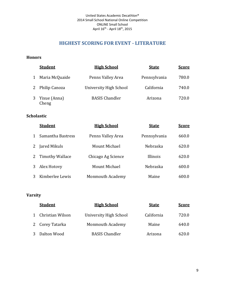# **HIGHEST SCORING FOR EVENT - LITERATURE**

#### <span id="page-8-0"></span>**Honors**

|   | <b>Student</b>          | <b>High School</b>     | <b>State</b> | <b>Score</b> |
|---|-------------------------|------------------------|--------------|--------------|
| 1 | Maria McQuaide          | Penns Valley Area      | Pennsylvania | 780.0        |
|   | 2 Philip Canoza         | University High School | California   | 740.0        |
|   | 3 Yixue (Anna)<br>Cheng | <b>BASIS Chandler</b>  | Arizona      | 720.0        |

## **Scholastic**

|   | <b>Student</b>         | <b>High School</b>      | <b>State</b> | <b>Score</b> |
|---|------------------------|-------------------------|--------------|--------------|
|   | Samantha Bastress      | Penns Valley Area       | Pennsylvania | 660.0        |
|   | Jared Mikuls           | Mount Michael           | Nebraska     | 620.0        |
| 2 | <b>Timothy Wallace</b> | Chicago Ag Science      | Illinois     | 620.0        |
| 3 | Alex Hotovy            | Mount Michael           | Nebraska     | 600.0        |
|   | Kimberlee Lewis        | <b>Monmouth Academy</b> | Maine        | 600.0        |

| <b>Student</b>     | <b>High School</b>      | <b>State</b> | <b>Score</b> |
|--------------------|-------------------------|--------------|--------------|
| 1 Christian Wilson | University High School  | California   | 720.0        |
| 2 Corey Tatarka    | <b>Monmouth Academy</b> | Maine        | 640.0        |
| 3 Dalton Wood      | <b>BASIS Chandler</b>   | Arizona      | 620.0        |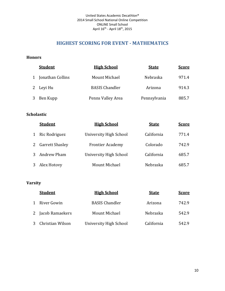# **HIGHEST SCORING FOR EVENT - MATHEMATICS**

#### <span id="page-9-0"></span>**Honors**

| <b>Student</b>     | <b>High School</b>    | <b>State</b> | <b>Score</b> |
|--------------------|-----------------------|--------------|--------------|
| 1 Jonathan Collins | Mount Michael         | Nebraska     | 971.4        |
| 2 Leyi Hu          | <b>BASIS Chandler</b> | Arizona      | 914.3        |
| 3 Ben Kupp         | Penns Valley Area     | Pennsylvania | 885.7        |

## **Scholastic**

|   | <b>Student</b>         | <b>High School</b>      | <b>State</b> | <b>Score</b> |
|---|------------------------|-------------------------|--------------|--------------|
|   | Ric Rodriguez          | University High School  | California   | 771.4        |
| 2 | <b>Garrett Shasley</b> | <b>Frontier Academy</b> | Colorado     | 742.9        |
|   | Andrew Pham            | University High School  | California   | 685.7        |
|   | Alex Hotovy            | Mount Michael           | Nebraska     | 685.7        |

|   | <b>Student</b>   | <b>High School</b>     | <b>State</b> | <b>Score</b> |
|---|------------------|------------------------|--------------|--------------|
|   | River Gowin      | <b>BASIS Chandler</b>  | Arizona      | 742.9        |
| 2 | Jacob Ramaekers  | Mount Michael          | Nebraska     | 542.9        |
|   | Christian Wilson | University High School | California   | 542.9        |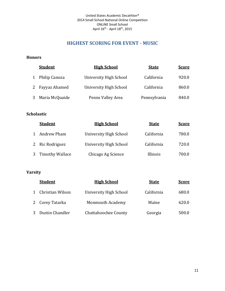# **HIGHEST SCORING FOR EVENT - MUSIC**

## <span id="page-10-0"></span>**Honors**

| <b>Student</b>   | <b>High School</b>            | <b>State</b> | <b>Score</b> |
|------------------|-------------------------------|--------------|--------------|
| 1 Philip Canoza  | <b>University High School</b> | California   | 920.0        |
| 2 Fayyaz Ahamed  | University High School        | California   | 860.0        |
| 3 Maria McQuaide | Penns Valley Area             | Pennsylvania | 840.0        |

## **Scholastic**

| <b>Student</b>    | <b>High School</b>     | <b>State</b> | <b>Score</b> |
|-------------------|------------------------|--------------|--------------|
| Andrew Pham       | University High School | California   | 780.0        |
| 2 Ric Rodriguez   | University High School | California   | 720.0        |
| 3 Timothy Wallace | Chicago Ag Science     | Illinois     | 700.0        |

|              | <b>Student</b>   | <b>High School</b>          | <b>State</b> | <u>Score</u> |
|--------------|------------------|-----------------------------|--------------|--------------|
| $\mathbf{1}$ | Christian Wilson | University High School      | California   | 680.0        |
|              | 2 Corey Tatarka  | <b>Monmouth Academy</b>     | Maine        | 620.0        |
| 3            | Dustin Chandler  | <b>Chattahoochee County</b> | Georgia      | 500.0        |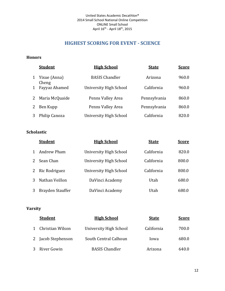# **HIGHEST SCORING FOR EVENT - SCIENCE**

#### <span id="page-11-0"></span>**Honors**

|   | <b>Student</b>        | <b>High School</b>     | <b>State</b> | <b>Score</b> |
|---|-----------------------|------------------------|--------------|--------------|
| 1 | Yixue (Anna)<br>Cheng | <b>BASIS Chandler</b>  | Arizona      | 960.0        |
| 1 | Fayyaz Ahamed         | University High School | California   | 960.0        |
| 2 | Maria McQuaide        | Penns Valley Area      | Pennsylvania | 860.0        |
| 2 | Ben Kupp              | Penns Valley Area      | Pennsylvania | 860.0        |
|   | Philip Canoza         | University High School | California   | 820.0        |

## **Scholastic**

| <b>Student</b>   | <b>High School</b>     | <b>State</b> | <b>Score</b> |
|------------------|------------------------|--------------|--------------|
| Andrew Pham      | University High School | California   | 820.0        |
| Sean Chan        | University High School | California   | 800.0        |
| Ric Rodriguez    | University High School | California   | 800.0        |
| Nathan Veillon   | DaVinci Academy        | Utah         | 680.0        |
| Brayden Stauffer | DaVinci Academy        | Utah         | 680.0        |

|   | <b>Student</b>     | <b>High School</b>     | <b>State</b> | <u>Score</u> |
|---|--------------------|------------------------|--------------|--------------|
|   | 1 Christian Wilson | University High School | California   | 700.0        |
|   | 2 Jacob Stephenson | South Central Calhoun  | lowa         | 680.0        |
| 3 | River Gowin        | <b>BASIS Chandler</b>  | Arizona      | 640.0        |